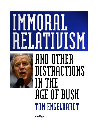# **MMORA AND OTHER**



## **DISTRACTIONS IN THE**  *AGE OF BUSH*<br>The DUSH **TOM ENGELHARDT**

**ColdType**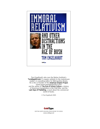

Tom Engelhardt, who runs the Nation Institute's Tomdispatch.com ("a regular antidote to the mainstream media"), is consulting editor for Metropolitan Books. He is the co-founder of the **American Empire Project** (www.americanempireproject.com) and the author of **The End of Victory Culture**, a history of American triumphalism in the Cold War, and the Last Days of Publishing, a novel about the commercial world of books.

© Tom Engelhardt 2005



WRITING WORTH READING FROM AROUND THE WORLD www.coldtype.net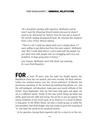"At a breakfast meeting with reporters, Wolfowitz said he hasn't read the [Downing Street] memos because he doesn't want to be 'distracted' by 'history' from his new job as head of the world's leading development bank. He returned this weekend from a tour of four African nations.

"'There's a lot I could say about what you're asking about, if I were willing to get distracted from the main subject,' Wolfowitz said. 'But I really think there's a price paid with the people I've just spent time with, people who are struggling with very real problems, to keep going back in history.'"

(Jon Sawyer, Wolfowitz won't talk about war planning, St. Louis Post-Dispatch.)

**FOR** at least 30 years now, the right has fought against, the Republican Party has run against, and more recently, the Bush administration has claimed victory over the "moral relativism" of liberals, the permissive parenting of the let-them-do-anything-they-please era, and the self-indulgent, self-absorbed, make-your-own-world attitude of the Sixties. Since September 11th, we have been told again and again, we are in a different world... finally. In this new world, things are black and white, good and evil, right and wrong. You are for or you are against. The murky relativism of the recent past, of an America in a mood of defeat, is long gone. In the White House, we have a stand-up guy so unlike the last president, that draft dodger who was ready to parse the meaning of "is" and twist the world to his unnatural desires.

In his speeches, George Bush regularly calls for a return to or the rein-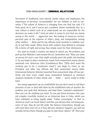forcement of traditional, even eternal, family values and emphasizes the importance of personal "accountability" for our children as well as ourselves. ("The culture of America is changing from one that has said, if it feels good, do it, and if you've got a problem, blame somebody else, to a new culture in which each of us understands we are responsible for the decisions we make in life.") And yet when it comes to acts that are clearly wrong in this world – aggressive war, the looting of resources, torture, personal gain at the expense of others, lying, and manipulation among other matters – Bush and his top officials never hesitate to redefine reality to suit their needs. When faced with matters long defined in everyday life in terms of right and wrong, they simply reach for their dictionaries.

You want to invade a country not about to attack you. No problem, just pick up that Webster's and rename the act "preventive war." Now, you want an excuse for such a war that might actually panic the public into backing it. So you begin to place mushroom clouds from nonexistent enemy atomic warheads over American cities (Condoleezza Rice: "[W]e don't want the smoking gun to be a mushroom cloud."); you begin to claim, as our President and other top officials did, that nonexistent enemy UAVs (Unmanned Airborne Vehicles) launched from nonexistent ships off our perfectly real East coast, might spray nonexistent biological or chemical weapons hundreds of miles inland, and – Voila! – you're ready to strike back.

You sweep opponents up on a battlefield, but you don't want to call them prisoners of war or deal with them by the established rules of warfare. No problem, just grab that dictionary and label them "unlawful combatants," then you can do anything you want. So you get those prisoners into your jail complex (carefully located on an American base in Cuba, which you have redefined as being legally under "Cuban sovereignty," so that no American court can touch them); and then you declare that, not being prisoners of war, they do not fall under the Geneva Conventions, though you will treat them (sort of) as if they did and, whatever happens, you will not actually torture them, though you plan to take those "gloves" off. Then your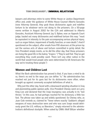lawyers and attorneys retire to some White House or Justice Department office and, under the guidance of White House Counsel Alberto Gonzales (now Attorney General), they grab those dictionaries again and redefine torture to be whatever we're not doing to the prisoners. (In a 50-page memo written in August 2002 for the CIA and addressed to Alberto Gonzales, Assistant Attorney General Jay S. Bybee, now an Appeals Court judge, hauled out many dictionaries and redefined torture this way: "must be equivalent in intensity to the pain accompanying serious physical injury, such as organ failure, impairment of bodily function, or even death.") And if questioned on the subject, after emails from FBI observers at the prison lay out the various acts of abuse and torture committed in grisly detail, the Vice President simply insists, as he did the other day, that those prisoners are living the good life in the balmy "tropics." ("They're well fed. They've got everything they could possibly want. There isn't any other nation in the world that would treat people who were determined to kill Americans the way we're treating these people.")

#### **Women and Children Last**

What the Bush administration has proved is that, if you have a mind to do so, there's no end to the ways you can define "is." No administration has reached not just for its guns but for its dictionaries more often, when brought up against commonly accepted definitions of what is.

Why just the other day, faced with a downward spiraling situation in Iraq and plummeting public-opinion polls, Vice President Cheney went on Larry King Live and declared that the Iraqi insurgency was actually in its "last throes." In this case, he had perhaps reached for his dictionary a little too fast. The phrase was taken up and widely questioned. So Cheney who, as Juan Cole reminds us, claimed he "'knew where exactly' Saddam's alleged weapons of mass destruction were and who was sure Iraqis would deliriously greet the U.S. military as liberators," simply returned to the administration's definitional stockpile. When asked by CNN's Wolf Blitzer whether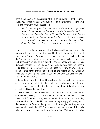General John Abizaid's description of the Iraqi situation – that the insurgency was "undiminished" (with ever more foreign fighters entering Iraq) – didn't contradict his, he responded:

"No, I would disagree. If you look at what the dictionary says about throes, it can still be a violent period – the throes of a revolution. The point would be that the conflict will be intense, but it's intense because the terrorists understand if we're successful at accomplishing our objective, standing up a democracy in Iraq, that that's a huge defeat for them. They'll do everything they can to stop it."

Actually, according to my own patriotically correctly named and so indisputable reference book, The American Heritage Dictionary of the English Language, a "throe" is "a severe pang or spasm of pain, as in childbirth," and the "throes" of a country in, say, revolution or economic collapse would also be brief spasms. Of course, just the other day, Secretary of Defense Donald Rumsfeld, looking into his murky crystal ball, claimed that this "spasm" could last up to another 12 years. I suppose from now on we should all speak of that period from birth to death as the "throes of life." As it happens, the American people seem uncomfortable with our Vice President's latest definitional forays.

Here's the strange thing, then: No one in our lifetime has found the nature of reality to be more definitionally supple, more malleable, more… let's say it… postmodern and relative (to their needs and desires) than the top officials of the Bush administration.

Their watchwords might be defined, if you don't mind my reaching for my dictionary of sayings, as – batten down the definitional hatches, full speed ahead, and if you hit a mine, women and children last. In that way, they have redefined "accountability" as never having to say you're sorry; or, as then-Governor of Texas evidently put it to the man ghostwriting his campaign autobiography in 1999, "...as a leader, you can never admit to a mistake"; or as former Undersecretary of Defense Paul Wolfowitz put it when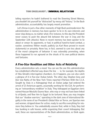telling reporters he hadn't bothered to read the Downing Street Memos, you shouldn't let yourself be "distracted" by messy old "history." In the Bush administration, accountability has largely meant promotion.

Let's throw in just a few other moments of high Bush postmodernism: No administration in memory has been quicker to lie in its own interests and never stop doing so, no matter what. (For instance, to this day the President never ceases to push the absurd link between the war in Iraq and the September 11th attacks). None in recent memory has been quicker to lie about or smear its opponents, or had, in political hand-to-hand combat, a nastier, sometimes filthier mouth, publicly (as Karl Rove proved in recent statements) or privately. None has, in fact, seemed to care less about any of the moral categories of behavior it was ostensibly promoting, when those happened to run aground on the shoals of its own political desires and fantasies.

#### **A Five-Star Rendition and Other Acts of Relativity**

Every administration sets a mood. You can see the one this administration has established reflected way down the line  $-$  in, for example, the depths of Abu Ghraib's interrogation chambers. As it happens, you can also catch a glimpse of it in five-star Italian hotels. The other day, Stephen Grey and Don Van Natta of the New York Times reported (Thirteen With the C.I.A. Sought by Italy in a Kidnapping) that an Italian judge had ordered the arrest of 13 American agents, assumedly working for the CIA, for performing an "extraordinary rendition" in Italy. They kidnapped an Egyptian cleric named Hassan Mustafa Osama Nasr, who may or may not have been linked to al-Qaeda, and flew him to Egypt to be tortured. Now, you may imagine that our "shadow warriors," operating in the dark zone of international illegality in the name of our President's Global War on Terror, are Spartan men and women, stripped down for action, ready to sacrifice everything for missions they believe in. You undoubtedly assume that, while in Italy, they laid low, bunking in safe houses, while organizing their covert kidnapping. But wait, these are representatives of the Bush administration, so think again.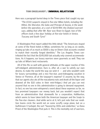Here was a paragraph buried deep in the Times piece that caught my eye:

"The [CIA] suspects stayed in five-star Milan hotels, including the Hilton, the Sheraton, the Galia and Principe di Savoia, in the week before the operation, at a cost of \$144,984, the [Italian] warrant says, adding that after Mr. Nasr was flown to Egypt, two of the officers took a few days' holiday at five-star hotels in Venice, Tuscany and South Tyrol."

A Washington Post report added this little detail: "The Americans stayed at some of the finest hotels in Milan, sometimes for as long as six weeks, ringing up tabs of as much as \$500 a day on Diners Club accounts created to match their recently forged identities." The Los Angeles Times contributed the fact that the \$145,000 tab actually only covered accommodations. As it happens, our luxury warriors were gourmets as well. They ran up tabs at Milan's best restaurants.

All of this fits so well with general attitudes at the upper reaches of this self-indulgent administration. Ours is, after all, a war to satisfy our own desires, to make the world the way we wish it  $-$  and who wouldn't wish for luxury surroundings and a nice five-star, post-kidnapping vacation in Venice or Florence, all at the taxpayer's expense? (I assume, by the way, that our agents also ate all the macadamia nuts and drank all the liquor and downed all the \$10 cokes in their mini-fridges.) And yet you can rest assured that no one in this administration is going to demand repayment. In fact, no one has even whispered a word about these expenses so far, no less promised taxpayers our money back, but you wouldn't expect that from an administration that stonewalls for a corporation, Halliburton, which seems to have taken both the American taxpayer and the Iraqis to the five-star cleaners. And while we're at it, let's just note that our rendition teams circle the world not on some scruffy cargo plane, but on a Gulfstream V turbojet, the sort "favored by CEOs and celebrities," as Dana Priest of the Washington Post puts it. This is the mentality not of warriors,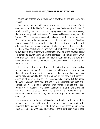of course, but of looters who never saw a payoff or an opening they didn't exploit.

From top to bottom, Bush's people are, in this sense, a caricature of their own caricature of the 1960s. In fact, given their fixation on the Sixties, it's worth revisiting their record in that long-ago era when they were already the most morally relative of beings. On the central issue of those years, the Vietnam War, they were essentially missing in action; or, as our Vice President so famously commented, "I had other priorities in the '60s than military service." The striking thing about the record of most of the Bush administration's key players (and almost all of the neocons) was that they used privilege, legalistic tricks, and every bit of slyness they could muster to avoid any entanglement with Vietnam (on any side of the issue) and later on, coming to power, they had not the slightest compunction about wrapping themselves in the flag and the uniform, acting like the warriors they never were, and attacking those who had engaged in some fashion with the Vietnam War.

It is perhaps not an irony but a kind of inevitability that, having worked so hard to avoid Vietnam (and its "mistakes") all those years, they now find themselves tightly gripped by a situation of their own making that has a remarkably Vietnam-like look to it; and, worse yet, they find themselves acting as if they were now, after all these years, back in the 1960s fighting the War in Vietnam rather than the one in Iraq. In his testimony before the Senate last week, Donald Rumsfeld even managed to get the classic Vietnam word "quagmire" and the equivalent of "light at the end of the tunnel" into a single sentence: "There isn't a person at this table who agrees with you [Senator Ted Kennedy] that we're in a quagmire and there's no end in sight."

As a group, the top figures in this administration have often seemed like so many aggressive children let loose in the neighborhood sandbox by deadbeat dads and moms. Does nobody wonder where those mommies and daddies, the people who should have taught them right from wrong, actu-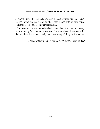ally went? Certainly, their children are, in the best Sixties manner, all libido. Let me, in fact, suggest a label for them that, I hope, catches their truest political nature: They are immoral relativists.

Yet, even for the most self-absorbed among them, the ones most ready to twist reality (and the names we give it) into whatever shape best suits their needs of the moment, reality does have a way of biting back. Count on it.

[Special thanks to Nick Turse for his invaluable research aid.]